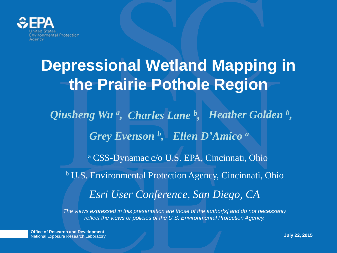

## **Depressional Wetland Mapping in the Prairie Pothole Region**

*Qiusheng Wu a , Charles Lane b , Heather Golden b , Grey Evenson b , Ellen D'Amico a*

<sup>a</sup> CSS-Dynamac c/o U.S. EPA, Cincinnati, Ohio

*Esri User Conference, San Diego, CA* <sup>b</sup> U.S. Environmental Protection Agency, Cincinnati, Ohio

*The views expressed in this presentation are those of the author[s] and do not necessarily reflect the views or policies of the U.S. Environmental Protection Agency.*

**Office of Research and Development** National Exposure Research Laboratory **July 22, 2015**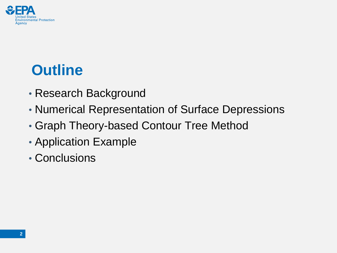

- Research Background
- Numerical Representation of Surface Depressions
- Graph Theory-based Contour Tree Method
- Application Example
- Conclusions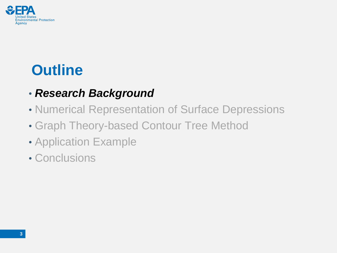

### • *Research Background*

- Numerical Representation of Surface Depressions
- Graph Theory-based Contour Tree Method
- Application Example
- Conclusions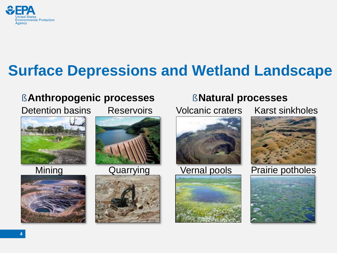

### **Surface Depressions and Wetland Landscape**

### § **Anthropogenic processes** § **Natural processes**

Detention basins Reservoirs







#### Mining Quarrying







Volcanic craters Karst sinkholes



#### Vernal pools Prairie potholes

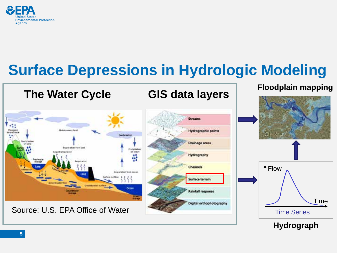

### **Surface Depressions in Hydrologic Modeling**





**Hydrograph**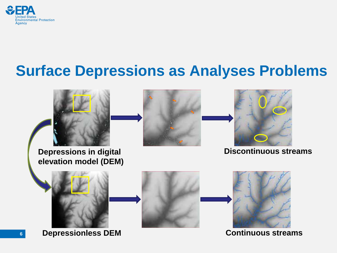

### **Surface Depressions as Analyses Problems**

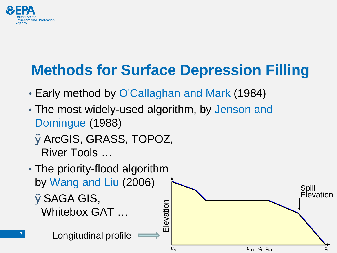

## **Methods for Surface Depression Filling**

- Early method by O'Callaghan and Mark (1984)
- The most widely-used algorithm, by Jenson and Domingue (1988)

ØArcGIS, GRASS, TOPOZ, River Tools …

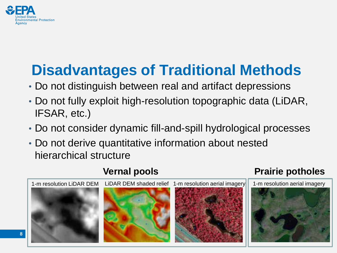

## **Disadvantages of Traditional Methods**

- Do not distinguish between real and artifact depressions
- Do not fully exploit high-resolution topographic data (LiDAR, IFSAR, etc.)
- Do not consider dynamic fill-and-spill hydrological processes
- Do not derive quantitative information about nested hierarchical structure



#### **Vernal pools**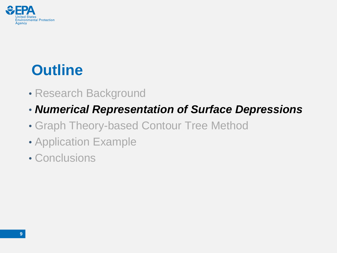

- Research Background
- *Numerical Representation of Surface Depressions*
- Graph Theory-based Contour Tree Method
- Application Example
- Conclusions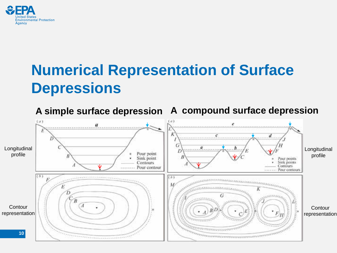

### **Numerical Representation of Surface Depressions**

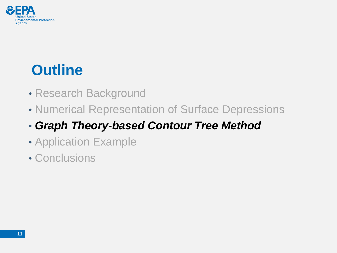

- Research Background
- Numerical Representation of Surface Depressions

### • *Graph Theory-based Contour Tree Method*

- Application Example
- Conclusions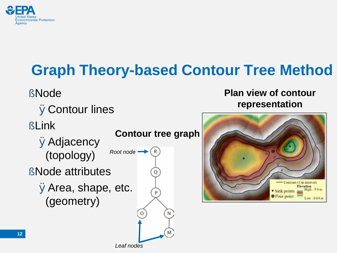

## **Graph Theory-based Contour Tree Method**

### § Node

**ØContour lines** 

§ Link

**ØAdjacency** (topology) § Node attributes ØArea, shape, etc. (geometry)

**Contour tree graph**

*Root node Leaf nodes*

#### **Plan view of contour representation**

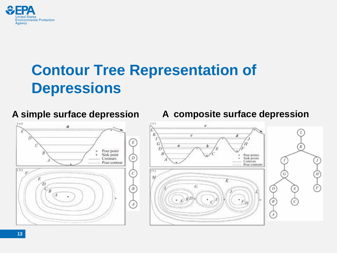

### **Contour Tree Representation of Depressions**



#### **A simple surface depression A composite surface depression**

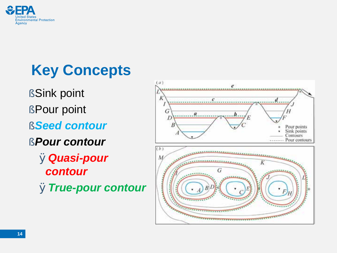

## **Key Concepts**

- §Sink point
- §Pour point
- §*Seed contour*
- §*Pour contour*
	- Ø*Quasi-pour contour*
	- Ø*True-pour contour*

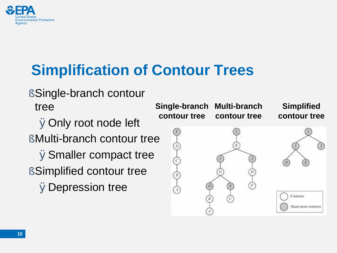

## **Simplification of Contour Trees**

§Single-branch contour tree

ØOnly root node left

§ Multi-branch contour tree

ØSmaller compact tree

§Simplified contour tree ØDepression tree

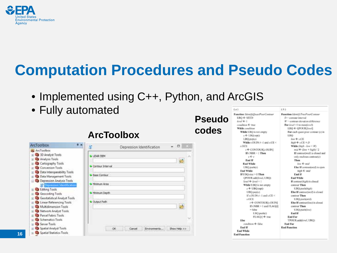

### **Computation Procedures and Pseudo Codes**

- Implemented using C++, Python, and ArcGIS
- Fully automated

| <b>ArcToolbox</b>                                                                                                                                                                                                                                                                                                                     |                                                                                                       | а<br>Depression Identification                  |
|---------------------------------------------------------------------------------------------------------------------------------------------------------------------------------------------------------------------------------------------------------------------------------------------------------------------------------------|-------------------------------------------------------------------------------------------------------|-------------------------------------------------|
| ArcToolbox<br>30 Analyst Tools<br>Analysis Tools<br>Cartography Tools<br>Conversion Tools<br>Cuta Interoperability Tools<br>Data Management Tools<br>Depression Analysis Tools<br>C's Depression Identification<br>diong Tools<br>Geocoding Tools<br>Geostatistical Analyst Tools<br>Linear Referencing Tools<br>Multidimension Tools | LIDAR DEM<br>Contour Interval<br><b>Base Contoca</b><br>Mountain Area<br>Minimum Depth<br>Output Path | ×                                               |
| Network Analyst Tools<br>Parcel Fabric Tools<br>Schematics Tools<br>Server Tools<br>Spatial Analyst Tools<br>Spatial Statistics Tools                                                                                                                                                                                                 |                                                                                                       | OK:<br>Environments:<br>Cancel<br>Shew Help 3-3 |

**Pseudo codes ArcToolbox**

 $(-a)$ 

Function Identifi QuantPoorContour  $LBO \leftarrow SEED$  $level 6-1$ condition 6-true While condition While LBQ is not empty  $s \in$  LBQ sep $0$ LBQ.pop(s) While s.OUIN #-1 and s.CE < x OCE i € CONTOURLOUIN] If  $t$  NBR = 1 Then  $r \leftarrow r$ End If **End While** UBQ push(r) End While If UBQ.size > 0 Then QPOUR.add(level, UBQ)  $level \leftarrow level + 1$ While UDQ is not empty  $s \in \text{UBO}$ .10p() UBQ.pop(s) If  $\angle$  OUIN  $\neq$  -1 and  $\angle$  CE < s OCE  $r \leftarrow \text{CONTOLR}[i,\text{OLIN}]$ If (NBR > 1 and FLAG[r]  $=$  false Distant DR.1  $FLAG[0]$   $\neq$  true Else condition + false End If End While

**End Function** 

Function Linetic TracPourContact  $D = constant$  interval  $W =$  contour elevation difference For level -1 to mostless?) LBO + OPOUR(level) For each quasi pour contour (a) in 1,943 low + x CE  $high + sCE + D$ While (high - Joe -: 30)  $mid \leftarrow$  (low + high) / 2 If contouristich is closed and only excloses contour(s) Then low 4- mid Else If conteur(mid) is open high 4- mid End If **End While** If contourthigh) is closed contour Then UBQ pushtikigib) Else If contrar(mid) is closed contour Then UBQ-push(mid) Else If contour(low) is closed contour Then UBQ.pushtlow) End If Ead For TPOUR.add(/cw/, UBQ) **End For End Function** 

 $(A)$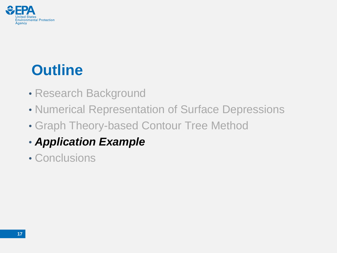

- Research Background
- Numerical Representation of Surface Depressions
- Graph Theory-based Contour Tree Method
- *Application Example*
- Conclusions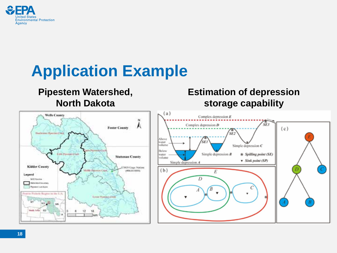

## **Application Example**

#### **Pipestem Watershed, North Dakota**

#### **Estimation of depression storage capability**

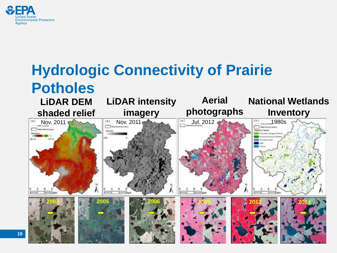

#### **Hydrologic Connectivity of Prairie Potholes Aerial National Wetlands LiDAR intensity LiDAR DEM photographs shaded relief imagery Inventory**  $(n)$ Nov. 2011 Nov. 2011 Nov. 2011 Jul. 2012 2012 1980s Petriet business **Westwick Scient**

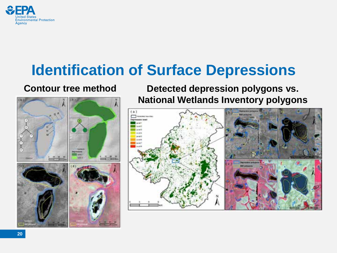

### **Identification of Surface Depressions**

#### **Contour tree method**



**Detected depression polygons vs. National Wetlands Inventory polygons**

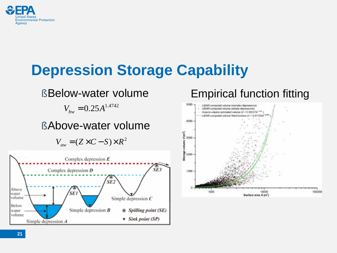

### **Depression Storage Capability**



### Empirical function fitting

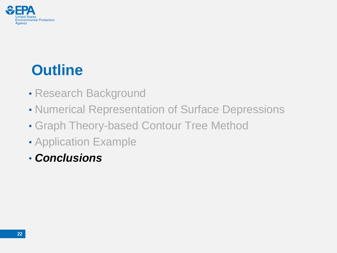

- Research Background
- Numerical Representation of Surface Depressions
- Graph Theory-based Contour Tree Method
- Application Example
- *Conclusions*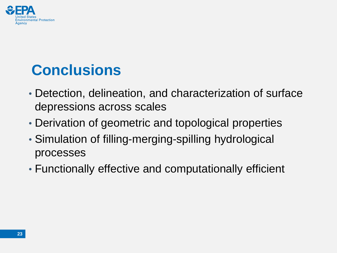

### **Conclusions**

- Detection, delineation, and characterization of surface depressions across scales
- Derivation of geometric and topological properties
- Simulation of filling-merging-spilling hydrological processes
- Functionally effective and computationally efficient